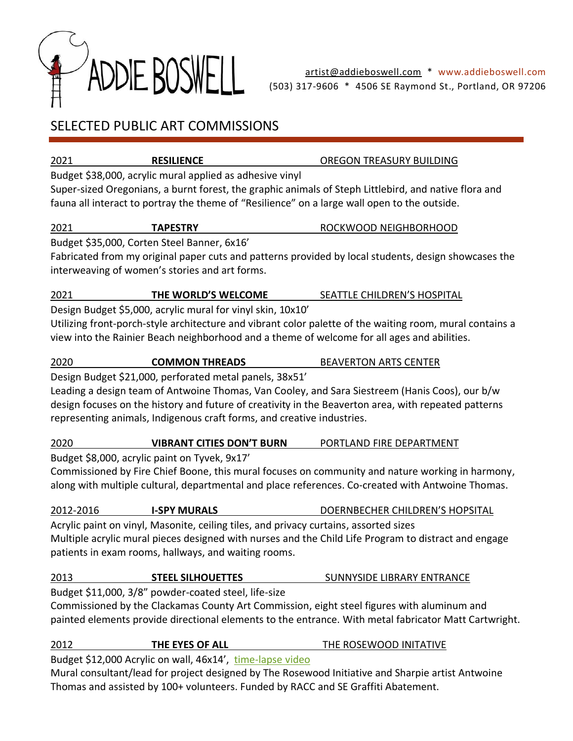

## SELECTED PUBLIC ART COMMISSIONS

2021 **RESILIENCE** OREGON TREASURY BUILDING

Budget \$38,000, acrylic mural applied as adhesive vinyl

Super-sized Oregonians, a burnt forest, the graphic animals of Steph Littlebird, and native flora and fauna all interact to portray the theme of "Resilience" on a large wall open to the outside.

### 2021 **TAPESTRY** ROCKWOOD NEIGHBORHOOD

Budget \$35,000, Corten Steel Banner, 6x16'

Fabricated from my original paper cuts and patterns provided by local students, design showcases the interweaving of women's stories and art forms.

### 2021 **THE WORLD'S WELCOME** SEATTLE CHILDREN'S HOSPITAL

Design Budget \$5,000, acrylic mural for vinyl skin, 10x10'

Utilizing front-porch-style architecture and vibrant color palette of the waiting room, mural contains a view into the Rainier Beach neighborhood and a theme of welcome for all ages and abilities.

2020 **COMMON THREADS** BEAVERTON ARTS CENTER

Design Budget \$21,000, perforated metal panels, 38x51'

Leading a design team of Antwoine Thomas, Van Cooley, and Sara Siestreem (Hanis Coos), our b/w design focuses on the history and future of creativity in the Beaverton area, with repeated patterns representing animals, Indigenous craft forms, and creative industries.

### 2020 **VIBRANT CITIES DON'T BURN** PORTLAND FIRE DEPARTMENT

Budget \$8,000, acrylic paint on Tyvek, 9x17'

Commissioned by Fire Chief Boone, this mural focuses on community and nature working in harmony, along with multiple cultural, departmental and place references. Co-created with Antwoine Thomas.

# 2012-2016 **I-SPY MURALS** DOERNBECHER CHILDREN'S HOPSITAL

Acrylic paint on vinyl, Masonite, ceiling tiles, and privacy curtains, assorted sizes Multiple acrylic mural pieces designed with nurses and the Child Life Program to distract and engage patients in exam rooms, hallways, and waiting rooms.

### 2013 **STEEL SILHOUETTES** SUNNYSIDE LIBRARY ENTRANCE

Budget \$11,000, 3/8" powder-coated steel, life-size Commissioned by the Clackamas County Art Commission, eight steel figures with aluminum and painted elements provide directional elements to the entrance. With metal fabricator Matt Cartwright.

### 2012 **THE EYES OF ALL** THE ROSEWOOD INITATIVE

Budget \$12,000 Acrylic on wall, 46x14', [time-lapse video](https://www.youtube.com/watch?v=0mV9WZ8Kd-E)

Mural consultant/lead for project designed by The Rosewood Initiative and Sharpie artist Antwoine Thomas and assisted by 100+ volunteers. Funded by RACC and SE Graffiti Abatement.